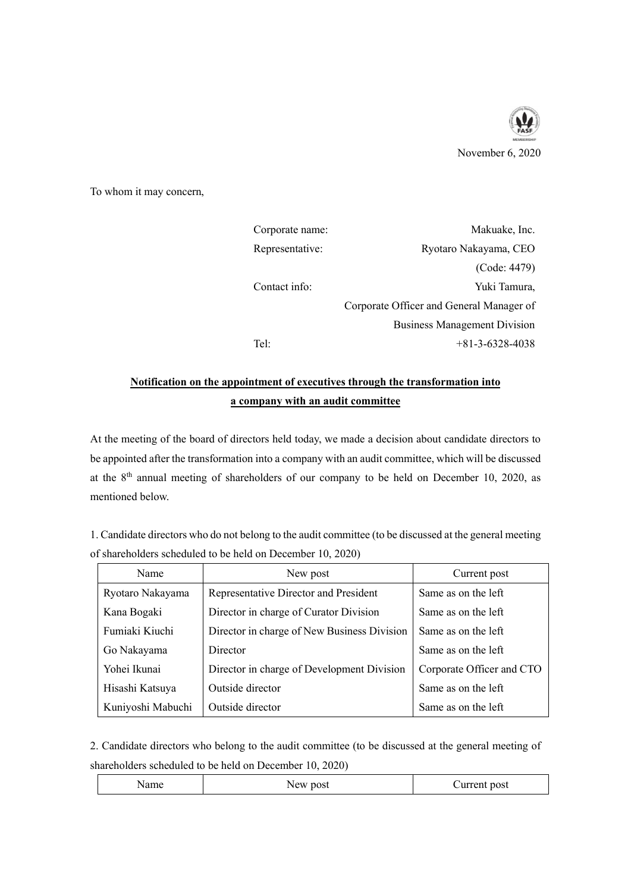

To whom it may concern,

| Corporate name: | Makuake, Inc.                            |
|-----------------|------------------------------------------|
| Representative: | Ryotaro Nakayama, CEO                    |
|                 | (Code: 4479)                             |
| Contact info:   | Yuki Tamura,                             |
|                 | Corporate Officer and General Manager of |
|                 | <b>Business Management Division</b>      |
| Tel:            | $+81-3-6328-4038$                        |

## **Notification on the appointment of executives through the transformation into a company with an audit committee**

At the meeting of the board of directors held today, we made a decision about candidate directors to be appointed after the transformation into a company with an audit committee, which will be discussed at the 8th annual meeting of shareholders of our company to be held on December 10, 2020, as mentioned below.

1. Candidate directors who do not belong to the audit committee (to be discussed at the general meeting of shareholders scheduled to be held on December 10, 2020)

| Name              | New post                                    | Current post              |  |
|-------------------|---------------------------------------------|---------------------------|--|
| Ryotaro Nakayama  | Representative Director and President       | Same as on the left       |  |
| Kana Bogaki       | Director in charge of Curator Division      | Same as on the left       |  |
| Fumiaki Kiuchi    | Director in charge of New Business Division | Same as on the left       |  |
| Go Nakayama       | Director                                    | Same as on the left       |  |
| Yohei Ikunai      | Director in charge of Development Division  | Corporate Officer and CTO |  |
| Hisashi Katsuya   | Outside director                            | Same as on the left       |  |
| Kuniyoshi Mabuchi | Outside director                            | Same as on the left       |  |

2. Candidate directors who belong to the audit committee (to be discussed at the general meeting of shareholders scheduled to be held on December 10, 2020)

| post<br>วost<br><br>.<br>аш<br>$     -$ |  |
|-----------------------------------------|--|
|-----------------------------------------|--|